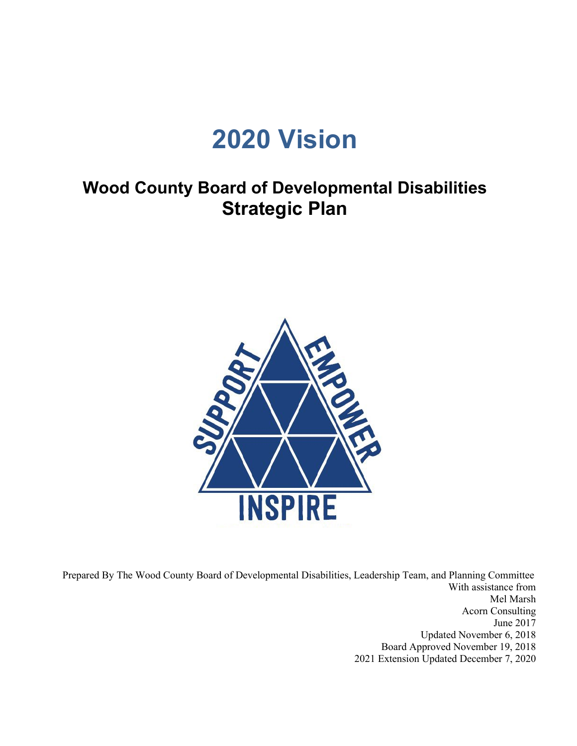# **2020 Vision**

## **Wood County Board of Developmental Disabilities Strategic Plan**



 Prepared By The Wood County Board of Developmental Disabilities, Leadership Team, and Planning Committee With assistance from Mel Marsh Acorn Consulting June 2017 Updated November 6, 2018 Board Approved November 19, 2018 2021 Extension Updated December 7, 2020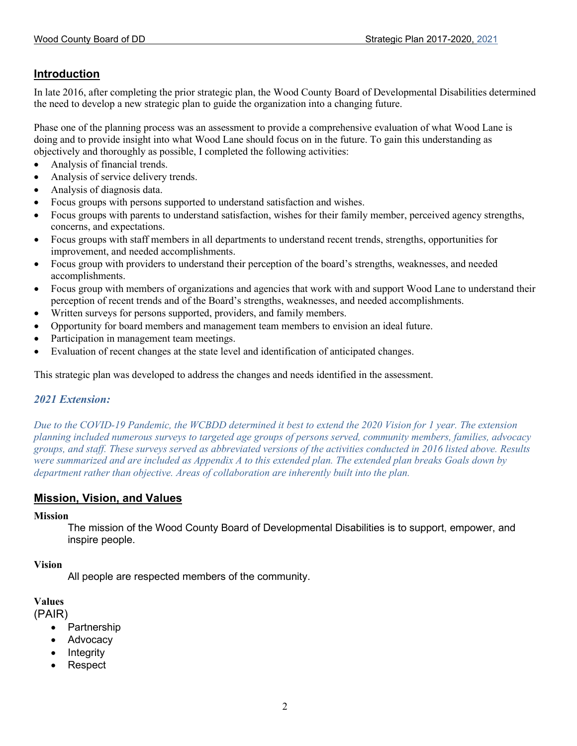#### **Introduction**

In late 2016, after completing the prior strategic plan, the Wood County Board of Developmental Disabilities determined the need to develop a new strategic plan to guide the organization into a changing future.

Phase one of the planning process was an assessment to provide a comprehensive evaluation of what Wood Lane is doing and to provide insight into what Wood Lane should focus on in the future. To gain this understanding as objectively and thoroughly as possible, I completed the following activities:

- Analysis of financial trends.
- Analysis of service delivery trends.
- Analysis of diagnosis data.
- Focus groups with persons supported to understand satisfaction and wishes.
- Focus groups with parents to understand satisfaction, wishes for their family member, perceived agency strengths, concerns, and expectations.
- Focus groups with staff members in all departments to understand recent trends, strengths, opportunities for improvement, and needed accomplishments.
- Focus group with providers to understand their perception of the board's strengths, weaknesses, and needed accomplishments.
- Focus group with members of organizations and agencies that work with and support Wood Lane to understand their perception of recent trends and of the Board's strengths, weaknesses, and needed accomplishments.
- Written surveys for persons supported, providers, and family members.
- Opportunity for board members and management team members to envision an ideal future.
- Participation in management team meetings.
- Evaluation of recent changes at the state level and identification of anticipated changes.

This strategic plan was developed to address the changes and needs identified in the assessment.

#### *2021 Extension:*

*Due to the COVID-19 Pandemic, the WCBDD determined it best to extend the 2020 Vision for 1 year. The extension planning included numerous surveys to targeted age groups of persons served, community members, families, advocacy groups, and staff. These surveys served as abbreviated versions of the activities conducted in 2016 listed above. Results were summarized and are included as Appendix A to this extended plan. The extended plan breaks Goals down by department rather than objective. Areas of collaboration are inherently built into the plan.*

#### **Mission, Vision, and Values**

#### **Mission**

The mission of the Wood County Board of Developmental Disabilities is to support, empower, and inspire people.

#### **Vision**

All people are respected members of the community.

#### **Values**

(PAIR)

- Partnership
- **Advocacy**
- **Integrity**
- Respect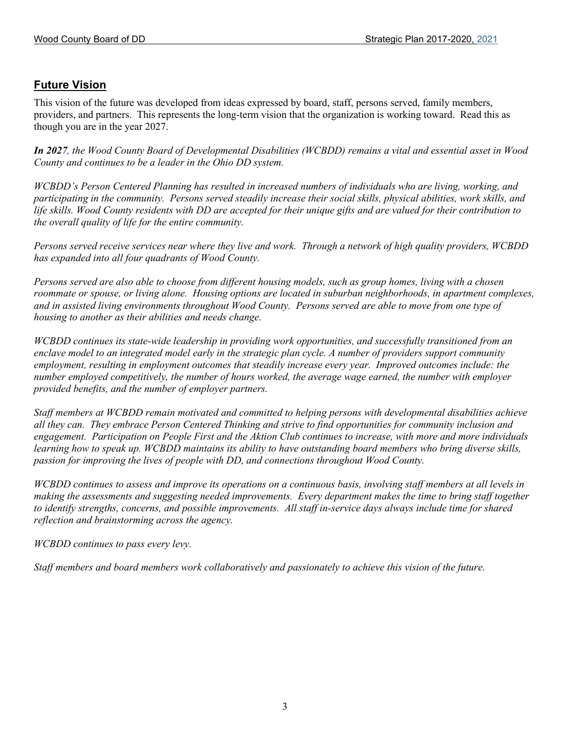#### **Future Vision**

This vision of the future was developed from ideas expressed by board, staff, persons served, family members, providers, and partners. This represents the long-term vision that the organization is working toward. Read this as though you are in the year 2027.

*In 2027, the Wood County Board of Developmental Disabilities (WCBDD) remains a vital and essential asset in Wood County and continues to be a leader in the Ohio DD system.*

*WCBDD's Person Centered Planning has resulted in increased numbers of individuals who are living, working, and participating in the community. Persons served steadily increase their social skills, physical abilities, work skills, and life skills. Wood County residents with DD are accepted for their unique gifts and are valued for their contribution to the overall quality of life for the entire community.*

*Persons served receive services near where they live and work. Through a network of high quality providers, WCBDD has expanded into all four quadrants of Wood County.*

*Persons served are also able to choose from different housing models, such as group homes, living with a chosen roommate or spouse, or living alone. Housing options are located in suburban neighborhoods, in apartment complexes, and in assisted living environments throughout Wood County. Persons served are able to move from one type of housing to another as their abilities and needs change.*

*WCBDD continues its state-wide leadership in providing work opportunities, and successfully transitioned from an enclave model to an integrated model early in the strategic plan cycle. A number of providers support community employment, resulting in employment outcomes that steadily increase every year. Improved outcomes include: the number employed competitively, the number of hours worked, the average wage earned, the number with employer provided benefits, and the number of employer partners.*

*Staff members at WCBDD remain motivated and committed to helping persons with developmental disabilities achieve all they can. They embrace Person Centered Thinking and strive to find opportunities for community inclusion and engagement. Participation on People First and the Aktion Club continues to increase, with more and more individuals learning how to speak up. WCBDD maintains its ability to have outstanding board members who bring diverse skills, passion for improving the lives of people with DD, and connections throughout Wood County.*

*WCBDD continues to assess and improve its operations on a continuous basis, involving staff members at all levels in making the assessments and suggesting needed improvements. Every department makes the time to bring staff together to identify strengths, concerns, and possible improvements. All staff in-service days always include time for shared reflection and brainstorming across the agency.*

*WCBDD continues to pass every levy.* 

*Staff members and board members work collaboratively and passionately to achieve this vision of the future.*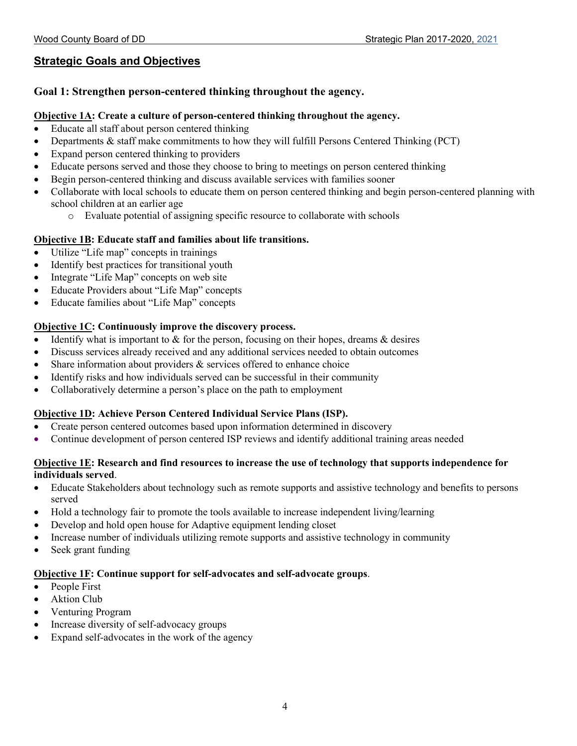### **Strategic Goals and Objectives**

#### **Goal 1: Strengthen person-centered thinking throughout the agency.**

#### **Objective 1A: Create a culture of person-centered thinking throughout the agency.**

- Educate all staff about person centered thinking
- Departments & staff make commitments to how they will fulfill Persons Centered Thinking (PCT)
- Expand person centered thinking to providers
- Educate persons served and those they choose to bring to meetings on person centered thinking
- Begin person-centered thinking and discuss available services with families sooner
- Collaborate with local schools to educate them on person centered thinking and begin person-centered planning with school children at an earlier age
	- o Evaluate potential of assigning specific resource to collaborate with schools

#### **Objective 1B: Educate staff and families about life transitions.**

- Utilize "Life map" concepts in trainings
- Identify best practices for transitional youth
- Integrate "Life Map" concepts on web site
- Educate Providers about "Life Map" concepts
- Educate families about "Life Map" concepts

#### **Objective 1C: Continuously improve the discovery process.**

- Identify what is important to  $\&$  for the person, focusing on their hopes, dreams  $\&$  desires
- Discuss services already received and any additional services needed to obtain outcomes
- Share information about providers  $&$  services offered to enhance choice
- Identify risks and how individuals served can be successful in their community
- Collaboratively determine a person's place on the path to employment

#### **Objective 1D: Achieve Person Centered Individual Service Plans (ISP).**

- Create person centered outcomes based upon information determined in discovery
- Continue development of person centered ISP reviews and identify additional training areas needed

#### **Objective 1E: Research and find resources to increase the use of technology that supports independence for individuals served**.

- Educate Stakeholders about technology such as remote supports and assistive technology and benefits to persons served
- Hold a technology fair to promote the tools available to increase independent living/learning
- Develop and hold open house for Adaptive equipment lending closet
- Increase number of individuals utilizing remote supports and assistive technology in community
- Seek grant funding

#### **Objective 1F: Continue support for self-advocates and self-advocate groups**.

- People First
- **Aktion Club**
- Venturing Program
- Increase diversity of self-advocacy groups
- Expand self-advocates in the work of the agency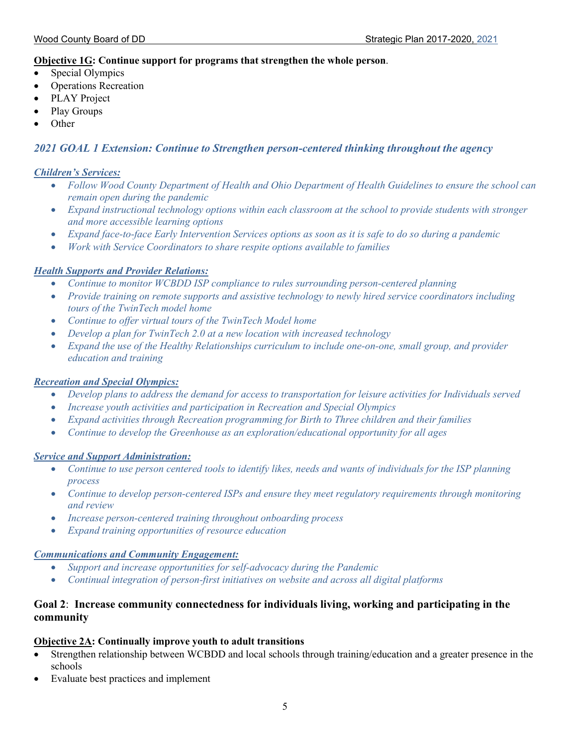#### **Objective 1G: Continue support for programs that strengthen the whole person**.

- Special Olympics
- Operations Recreation
- PLAY Project
- Play Groups
- Other

#### *2021 GOAL 1 Extension: Continue to Strengthen person-centered thinking throughout the agency*

#### *Children's Services:*

- *Follow Wood County Department of Health and Ohio Department of Health Guidelines to ensure the school can remain open during the pandemic*
- *Expand instructional technology options within each classroom at the school to provide students with stronger and more accessible learning options*
- *Expand face-to-face Early Intervention Services options as soon as it is safe to do so during a pandemic*
- *Work with Service Coordinators to share respite options available to families*

#### *Health Supports and Provider Relations:*

- *Continue to monitor WCBDD ISP compliance to rules surrounding person-centered planning*
- *Provide training on remote supports and assistive technology to newly hired service coordinators including tours of the TwinTech model home*
- *Continue to offer virtual tours of the TwinTech Model home*
- *Develop a plan for TwinTech 2.0 at a new location with increased technology*
- *Expand the use of the Healthy Relationships curriculum to include one-on-one, small group, and provider education and training*

#### *Recreation and Special Olympics:*

- *Develop plans to address the demand for access to transportation for leisure activities for Individuals served*
- *Increase youth activities and participation in Recreation and Special Olympics*
- *Expand activities through Recreation programming for Birth to Three children and their families*
- *Continue to develop the Greenhouse as an exploration/educational opportunity for all ages*

#### *Service and Support Administration:*

- *Continue to use person centered tools to identify likes, needs and wants of individuals for the ISP planning process*
- *Continue to develop person-centered ISPs and ensure they meet regulatory requirements through monitoring and review*
- *Increase person-centered training throughout onboarding process*
- *Expand training opportunities of resource education*

#### *Communications and Community Engagement:*

- *Support and increase opportunities for self-advocacy during the Pandemic*
- *Continual integration of person-first initiatives on website and across all digital platforms*

#### **Goal 2**: **Increase community connectedness for individuals living, working and participating in the community**

#### **Objective 2A: Continually improve youth to adult transitions**

- Strengthen relationship between WCBDD and local schools through training/education and a greater presence in the schools
- Evaluate best practices and implement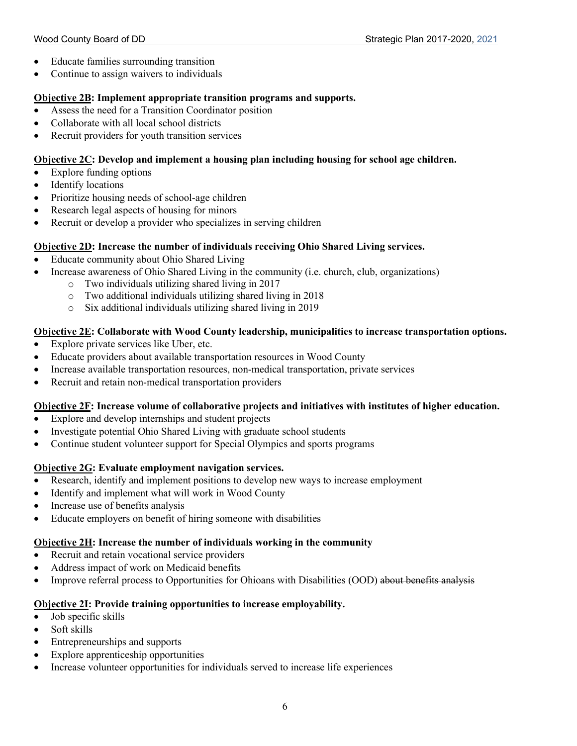- Educate families surrounding transition
- Continue to assign waivers to individuals

#### **Objective 2B: Implement appropriate transition programs and supports.**

- Assess the need for a Transition Coordinator position
- Collaborate with all local school districts
- Recruit providers for youth transition services

#### **Objective 2C: Develop and implement a housing plan including housing for school age children.**

- Explore funding options
- Identify locations
- Prioritize housing needs of school-age children
- Research legal aspects of housing for minors
- Recruit or develop a provider who specializes in serving children

#### **Objective 2D: Increase the number of individuals receiving Ohio Shared Living services.**

- Educate community about Ohio Shared Living
- Increase awareness of Ohio Shared Living in the community (i.e. church, club, organizations)
	- o Two individuals utilizing shared living in 2017
	- o Two additional individuals utilizing shared living in 2018
	- o Six additional individuals utilizing shared living in 2019

#### **Objective 2E: Collaborate with Wood County leadership, municipalities to increase transportation options.**

- Explore private services like Uber, etc.
- Educate providers about available transportation resources in Wood County
- Increase available transportation resources, non-medical transportation, private services
- Recruit and retain non-medical transportation providers

#### **Objective 2F: Increase volume of collaborative projects and initiatives with institutes of higher education.**

- Explore and develop internships and student projects
- Investigate potential Ohio Shared Living with graduate school students
- Continue student volunteer support for Special Olympics and sports programs

#### **Objective 2G: Evaluate employment navigation services.**

- Research, identify and implement positions to develop new ways to increase employment
- Identify and implement what will work in Wood County
- Increase use of benefits analysis
- Educate employers on benefit of hiring someone with disabilities

#### **Objective 2H: Increase the number of individuals working in the community**

- Recruit and retain vocational service providers
- Address impact of work on Medicaid benefits
- Improve referral process to Opportunities for Ohioans with Disabilities (OOD) about benefits analysis

#### **Objective 2I: Provide training opportunities to increase employability.**

- Job specific skills
- Soft skills
- Entrepreneurships and supports
- Explore apprenticeship opportunities
- Increase volunteer opportunities for individuals served to increase life experiences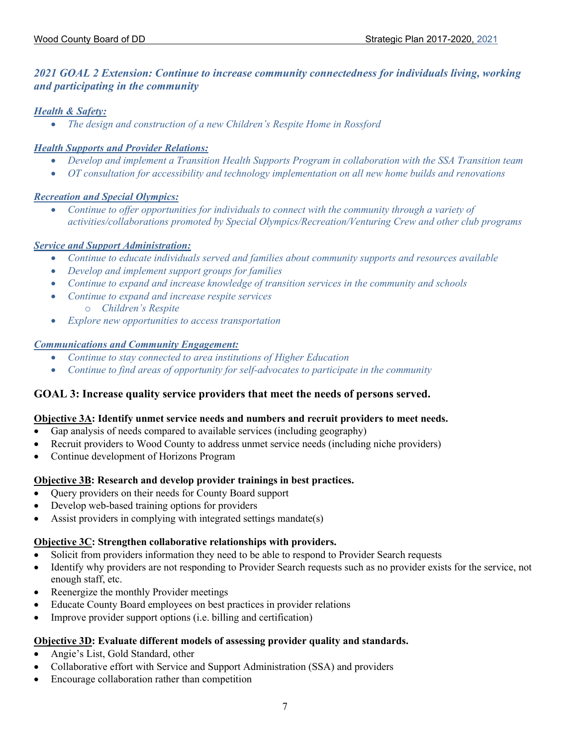#### *2021 GOAL 2 Extension: Continue to increase community connectedness for individuals living, working and participating in the community*

#### *Health & Safety:*

• *The design and construction of a new Children's Respite Home in Rossford*

#### *Health Supports and Provider Relations:*

- *Develop and implement a Transition Health Supports Program in collaboration with the SSA Transition team*
- *OT consultation for accessibility and technology implementation on all new home builds and renovations*

#### *Recreation and Special Olympics:*

• *Continue to offer opportunities for individuals to connect with the community through a variety of activities/collaborations promoted by Special Olympics/Recreation/Venturing Crew and other club programs*

#### *Service and Support Administration:*

- *Continue to educate individuals served and families about community supports and resources available*
- *Develop and implement support groups for families*
- *Continue to expand and increase knowledge of transition services in the community and schools*
- *Continue to expand and increase respite services* o *Children's Respite*
- *Explore new opportunities to access transportation*

#### *Communications and Community Engagement:*

- *Continue to stay connected to area institutions of Higher Education*
- *Continue to find areas of opportunity for self-advocates to participate in the community*

#### **GOAL 3: Increase quality service providers that meet the needs of persons served.**

#### **Objective 3A: Identify unmet service needs and numbers and recruit providers to meet needs.**

- Gap analysis of needs compared to available services (including geography)
- Recruit providers to Wood County to address unmet service needs (including niche providers)
- Continue development of Horizons Program

#### **Objective 3B: Research and develop provider trainings in best practices.**

- Query providers on their needs for County Board support
- Develop web-based training options for providers
- Assist providers in complying with integrated settings mandate(s)

#### **Objective 3C: Strengthen collaborative relationships with providers.**

- Solicit from providers information they need to be able to respond to Provider Search requests
- Identify why providers are not responding to Provider Search requests such as no provider exists for the service, not enough staff, etc.
- Reenergize the monthly Provider meetings
- Educate County Board employees on best practices in provider relations
- Improve provider support options (i.e. billing and certification)

#### **Objective 3D: Evaluate different models of assessing provider quality and standards.**

- Angie's List, Gold Standard, other
- Collaborative effort with Service and Support Administration (SSA) and providers
- Encourage collaboration rather than competition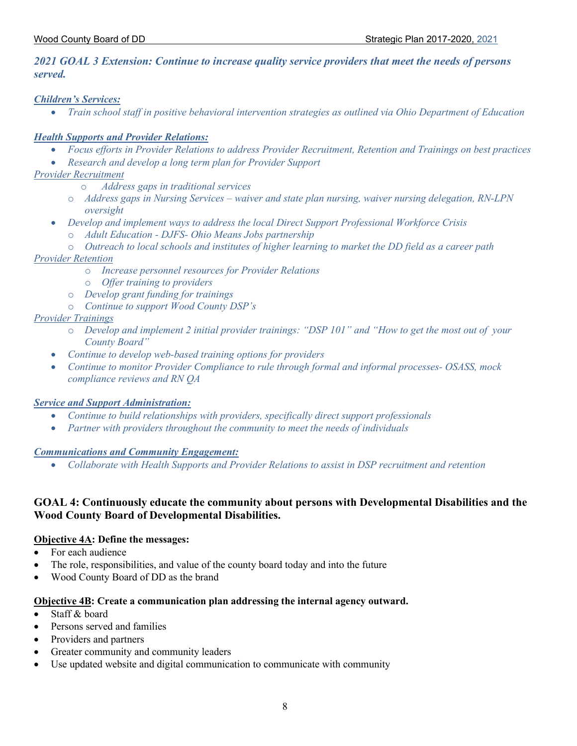#### *2021 GOAL 3 Extension: Continue to increase quality service providers that meet the needs of persons served.*

#### *Children's Services:*

• *Train school staff in positive behavioral intervention strategies as outlined via Ohio Department of Education*

#### *Health Supports and Provider Relations:*

- *Focus efforts in Provider Relations to address Provider Recruitment, Retention and Trainings on best practices*
- *Research and develop a long term plan for Provider Support*

#### *Provider Recruitment*

- o *Address gaps in traditional services*
- o *Address gaps in Nursing Services – waiver and state plan nursing, waiver nursing delegation, RN-LPN oversight*
- *Develop and implement ways to address the local Direct Support Professional Workforce Crisis*
	- o *Adult Education - DJFS- Ohio Means Jobs partnership*
	- o *Outreach to local schools and institutes of higher learning to market the DD field as a career path*

#### *Provider Retention*

- o *Increase personnel resources for Provider Relations*
- o *Offer training to providers*
- o *Develop grant funding for trainings*
- o *Continue to support Wood County DSP's*

#### *Provider Trainings*

- o *Develop and implement 2 initial provider trainings: "DSP 101" and "How to get the most out of your County Board"*
- *Continue to develop web-based training options for providers*
- *Continue to monitor Provider Compliance to rule through formal and informal processes- OSASS, mock compliance reviews and RN QA*

#### *Service and Support Administration:*

- *Continue to build relationships with providers, specifically direct support professionals*
- *Partner with providers throughout the community to meet the needs of individuals*

#### *Communications and Community Engagement:*

• *Collaborate with Health Supports and Provider Relations to assist in DSP recruitment and retention*

#### **GOAL 4: Continuously educate the community about persons with Developmental Disabilities and the Wood County Board of Developmental Disabilities.**

#### **Objective 4A: Define the messages:**

- For each audience
- The role, responsibilities, and value of the county board today and into the future
- Wood County Board of DD as the brand

#### **Objective 4B: Create a communication plan addressing the internal agency outward.**

- Staff  $\&$  board
- Persons served and families
- Providers and partners
- Greater community and community leaders
- Use updated website and digital communication to communicate with community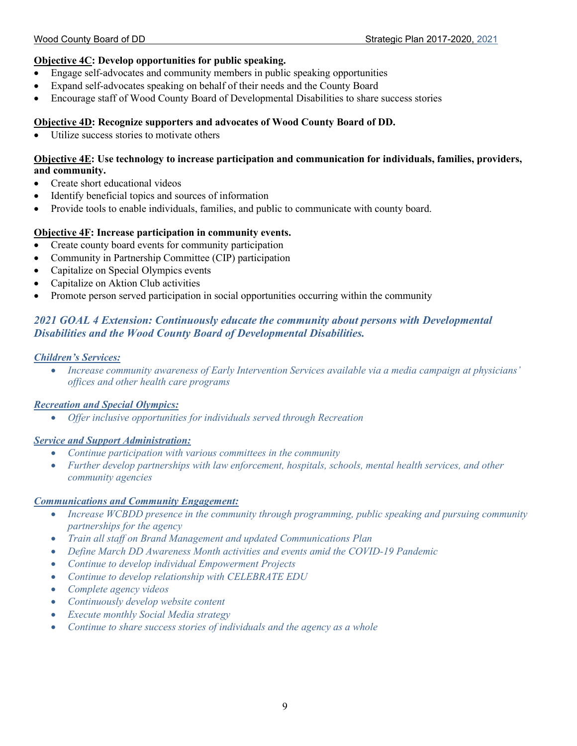#### **Objective 4C: Develop opportunities for public speaking.**

- Engage self-advocates and community members in public speaking opportunities
- Expand self-advocates speaking on behalf of their needs and the County Board
- Encourage staff of Wood County Board of Developmental Disabilities to share success stories

#### **Objective 4D: Recognize supporters and advocates of Wood County Board of DD.**

• Utilize success stories to motivate others

#### **Objective 4E: Use technology to increase participation and communication for individuals, families, providers, and community.**

- Create short educational videos
- Identify beneficial topics and sources of information
- Provide tools to enable individuals, families, and public to communicate with county board.

#### **Objective 4F: Increase participation in community events.**

- Create county board events for community participation
- Community in Partnership Committee (CIP) participation
- Capitalize on Special Olympics events
- Capitalize on Aktion Club activities
- Promote person served participation in social opportunities occurring within the community

#### *2021 GOAL 4 Extension: Continuously educate the community about persons with Developmental Disabilities and the Wood County Board of Developmental Disabilities.*

#### *Children's Services:*

• *Increase community awareness of Early Intervention Services available via a media campaign at physicians' offices and other health care programs*

#### *Recreation and Special Olympics:*

• *Offer inclusive opportunities for individuals served through Recreation* 

#### *Service and Support Administration:*

- *Continue participation with various committees in the community*
- *Further develop partnerships with law enforcement, hospitals, schools, mental health services, and other community agencies*

#### *Communications and Community Engagement:*

- *Increase WCBDD presence in the community through programming, public speaking and pursuing community partnerships for the agency*
- *Train all staff on Brand Management and updated Communications Plan*
- *Define March DD Awareness Month activities and events amid the COVID-19 Pandemic*
- *Continue to develop individual Empowerment Projects*
- *Continue to develop relationship with CELEBRATE EDU*
- *Complete agency videos*
- *Continuously develop website content*
- *Execute monthly Social Media strategy*
- *Continue to share success stories of individuals and the agency as a whole*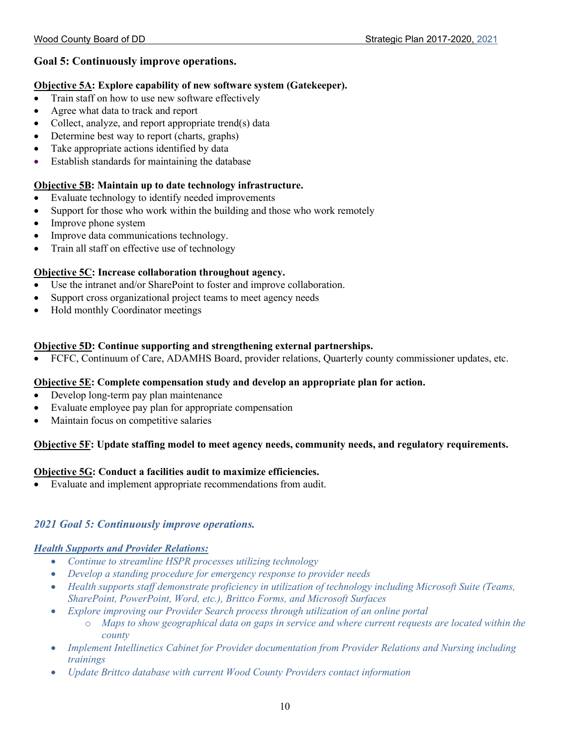#### **Goal 5: Continuously improve operations.**

#### **Objective 5A: Explore capability of new software system (Gatekeeper).**

- Train staff on how to use new software effectively
- Agree what data to track and report
- Collect, analyze, and report appropriate trend(s) data
- Determine best way to report (charts, graphs)
- Take appropriate actions identified by data
- Establish standards for maintaining the database

#### **Objective 5B: Maintain up to date technology infrastructure.**

- Evaluate technology to identify needed improvements
- Support for those who work within the building and those who work remotely
- Improve phone system
- Improve data communications technology.
- Train all staff on effective use of technology

#### **Objective 5C: Increase collaboration throughout agency.**

- Use the intranet and/or SharePoint to foster and improve collaboration.
- Support cross organizational project teams to meet agency needs
- Hold monthly Coordinator meetings

#### **Objective 5D: Continue supporting and strengthening external partnerships.**

• FCFC, Continuum of Care, ADAMHS Board, provider relations, Quarterly county commissioner updates, etc.

#### **Objective 5E: Complete compensation study and develop an appropriate plan for action.**

- Develop long-term pay plan maintenance
- Evaluate employee pay plan for appropriate compensation
- Maintain focus on competitive salaries

#### **Objective 5F: Update staffing model to meet agency needs, community needs, and regulatory requirements.**

#### **Objective 5G: Conduct a facilities audit to maximize efficiencies.**

• Evaluate and implement appropriate recommendations from audit.

#### *2021 Goal 5: Continuously improve operations.*

#### *Health Supports and Provider Relations:*

- *Continue to streamline HSPR processes utilizing technology*
- *Develop a standing procedure for emergency response to provider needs*
- *Health supports staff demonstrate proficiency in utilization of technology including Microsoft Suite (Teams, SharePoint, PowerPoint, Word, etc.), Brittco Forms, and Microsoft Surfaces*
- *Explore improving our Provider Search process through utilization of an online portal*
	- o *Maps to show geographical data on gaps in service and where current requests are located within the county*
- *Implement Intellinetics Cabinet for Provider documentation from Provider Relations and Nursing including trainings*
- *Update Brittco database with current Wood County Providers contact information*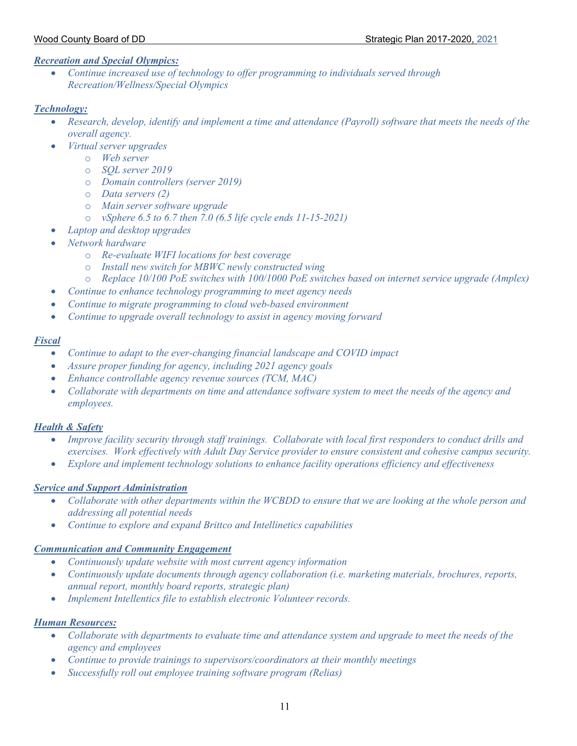#### *Recreation and Special Olympics:*

• *Continue increased use of technology to offer programming to individuals served through Recreation/Wellness/Special Olympics*

#### *Technology:*

- *Research, develop, identify and implement a time and attendance (Payroll) software that meets the needs of the overall agency.*
- *Virtual server upgrades*
	- o *Web server*
	- o *SQL server 2019*
	- o *Domain controllers (server 2019)*
	- o *Data servers (2)*
	- o *Main server software upgrade*
	- o *vSphere 6.5 to 6.7 then 7.0 (6.5 life cycle ends 11-15-2021)*
	- *Laptop and desktop upgrades*
- *Network hardware*
	- o *Re-evaluate WIFI locations for best coverage*
	- o *Install new switch for MBWC newly constructed wing*
	- o *Replace 10/100 PoE switches with 100/1000 PoE switches based on internet service upgrade (Amplex)*
- *Continue to enhance technology programming to meet agency needs*
- *Continue to migrate programming to cloud web-based environment*
- *Continue to upgrade overall technology to assist in agency moving forward*

#### *Fiscal*

- *Continue to adapt to the ever-changing financial landscape and COVID impact*
- *Assure proper funding for agency, including 2021 agency goals*
- *Enhance controllable agency revenue sources (TCM, MAC)*
- *Collaborate with departments on time and attendance software system to meet the needs of the agency and employees.*

#### *Health & Safety*

- *Improve facility security through staff trainings. Collaborate with local first responders to conduct drills and exercises. Work effectively with Adult Day Service provider to ensure consistent and cohesive campus security.*
- *Explore and implement technology solutions to enhance facility operations efficiency and effectiveness*

#### *Service and Support Administration*

- *Collaborate with other departments within the WCBDD to ensure that we are looking at the whole person and addressing all potential needs*
- *Continue to explore and expand Brittco and Intellinetics capabilities*

#### *Communication and Community Engagement*

- *Continuously update website with most current agency information*
- *Continuously update documents through agency collaboration (i.e. marketing materials, brochures, reports, annual report, monthly board reports, strategic plan)*
- *Implement Intellentics file to establish electronic Volunteer records.*

#### *Human Resources:*

- *Collaborate with departments to evaluate time and attendance system and upgrade to meet the needs of the agency and employees*
- *Continue to provide trainings to supervisors/coordinators at their monthly meetings*
- *Successfully roll out employee training software program (Relias)*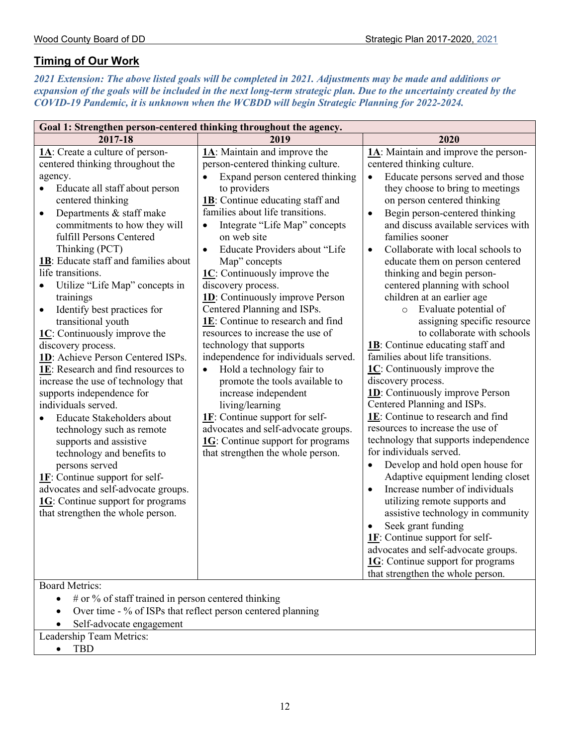## **Timing of Our Work**

*2021 Extension: The above listed goals will be completed in 2021. Adjustments may be made and additions or expansion of the goals will be included in the next long-term strategic plan. Due to the uncertainty created by the COVID-19 Pandemic, it is unknown when the WCBDD will begin Strategic Planning for 2022-2024.*

| Goal 1: Strengthen person-centered thinking throughout the agency.                                                                                                                                                                                                                                                                                                                                                                                                                                                                                                                                                                                                                                                                                                                                                                                                                                                                                                                        |                                                                                                                                                                                                                                                                                                                                                                                                                                                                                                                                                                                                                                                                                                                                                                                                                                                                                                              |                                                                                                                                                                                                                                                                                                                                                                                                                                                                                                                                                                                                                                                                                                                                                                                                                                                                                                                                                                                                                                                                                                                                                                                                                                                                                                                   |  |  |
|-------------------------------------------------------------------------------------------------------------------------------------------------------------------------------------------------------------------------------------------------------------------------------------------------------------------------------------------------------------------------------------------------------------------------------------------------------------------------------------------------------------------------------------------------------------------------------------------------------------------------------------------------------------------------------------------------------------------------------------------------------------------------------------------------------------------------------------------------------------------------------------------------------------------------------------------------------------------------------------------|--------------------------------------------------------------------------------------------------------------------------------------------------------------------------------------------------------------------------------------------------------------------------------------------------------------------------------------------------------------------------------------------------------------------------------------------------------------------------------------------------------------------------------------------------------------------------------------------------------------------------------------------------------------------------------------------------------------------------------------------------------------------------------------------------------------------------------------------------------------------------------------------------------------|-------------------------------------------------------------------------------------------------------------------------------------------------------------------------------------------------------------------------------------------------------------------------------------------------------------------------------------------------------------------------------------------------------------------------------------------------------------------------------------------------------------------------------------------------------------------------------------------------------------------------------------------------------------------------------------------------------------------------------------------------------------------------------------------------------------------------------------------------------------------------------------------------------------------------------------------------------------------------------------------------------------------------------------------------------------------------------------------------------------------------------------------------------------------------------------------------------------------------------------------------------------------------------------------------------------------|--|--|
| 2017-18                                                                                                                                                                                                                                                                                                                                                                                                                                                                                                                                                                                                                                                                                                                                                                                                                                                                                                                                                                                   | 2019                                                                                                                                                                                                                                                                                                                                                                                                                                                                                                                                                                                                                                                                                                                                                                                                                                                                                                         | 2020                                                                                                                                                                                                                                                                                                                                                                                                                                                                                                                                                                                                                                                                                                                                                                                                                                                                                                                                                                                                                                                                                                                                                                                                                                                                                                              |  |  |
| 1A: Create a culture of person-<br>centered thinking throughout the<br>agency.<br>Educate all staff about person<br>$\bullet$<br>centered thinking<br>Departments & staff make<br>$\bullet$<br>commitments to how they will<br>fulfill Persons Centered<br>Thinking (PCT)<br>1B: Educate staff and families about<br>life transitions.<br>Utilize "Life Map" concepts in<br>۰<br>trainings<br>Identify best practices for<br>$\bullet$<br>transitional youth<br>$1C$ : Continuously improve the<br>discovery process.<br>1D: Achieve Person Centered ISPs.<br>1E: Research and find resources to<br>increase the use of technology that<br>supports independence for<br>individuals served.<br>Educate Stakeholders about<br>technology such as remote<br>supports and assistive<br>technology and benefits to<br>persons served<br>$1F$ : Continue support for self-<br>advocates and self-advocate groups.<br>$1G$ : Continue support for programs<br>that strengthen the whole person. | $1\text{A}$ : Maintain and improve the<br>person-centered thinking culture.<br>Expand person centered thinking<br>$\bullet$<br>to providers<br>1B: Continue educating staff and<br>families about life transitions.<br>Integrate "Life Map" concepts<br>$\bullet$<br>on web site<br>Educate Providers about "Life<br>$\bullet$<br>Map" concepts<br>1C: Continuously improve the<br>discovery process.<br><b>1D</b> : Continuously improve Person<br>Centered Planning and ISPs.<br>1E: Continue to research and find<br>resources to increase the use of<br>technology that supports<br>independence for individuals served.<br>Hold a technology fair to<br>$\bullet$<br>promote the tools available to<br>increase independent<br>living/learning<br>$1F$ : Continue support for self-<br>advocates and self-advocate groups.<br>$1G$ : Continue support for programs<br>that strengthen the whole person. | 1A: Maintain and improve the person-<br>centered thinking culture.<br>Educate persons served and those<br>$\bullet$<br>they choose to bring to meetings<br>on person centered thinking<br>Begin person-centered thinking<br>٠<br>and discuss available services with<br>families sooner<br>Collaborate with local schools to<br>$\bullet$<br>educate them on person centered<br>thinking and begin person-<br>centered planning with school<br>children at an earlier age<br>Evaluate potential of<br>$\circ$<br>assigning specific resource<br>to collaborate with schools<br>1B: Continue educating staff and<br>families about life transitions.<br>$1C$ : Continuously improve the<br>discovery process.<br><b>1D</b> : Continuously improve Person<br>Centered Planning and ISPs.<br>1E: Continue to research and find<br>resources to increase the use of<br>technology that supports independence<br>for individuals served.<br>Develop and hold open house for<br>$\bullet$<br>Adaptive equipment lending closet<br>Increase number of individuals<br>utilizing remote supports and<br>assistive technology in community<br>Seek grant funding<br>1F: Continue support for self-<br>advocates and self-advocate groups.<br><b>1G</b> : Continue support for programs<br>that strengthen the whole person. |  |  |
| <b>Board Metrics:</b>                                                                                                                                                                                                                                                                                                                                                                                                                                                                                                                                                                                                                                                                                                                                                                                                                                                                                                                                                                     |                                                                                                                                                                                                                                                                                                                                                                                                                                                                                                                                                                                                                                                                                                                                                                                                                                                                                                              |                                                                                                                                                                                                                                                                                                                                                                                                                                                                                                                                                                                                                                                                                                                                                                                                                                                                                                                                                                                                                                                                                                                                                                                                                                                                                                                   |  |  |
| $#$ or % of staff trained in person centered thinking<br>Over time - % of ISPs that reflect person centered planning                                                                                                                                                                                                                                                                                                                                                                                                                                                                                                                                                                                                                                                                                                                                                                                                                                                                      |                                                                                                                                                                                                                                                                                                                                                                                                                                                                                                                                                                                                                                                                                                                                                                                                                                                                                                              |                                                                                                                                                                                                                                                                                                                                                                                                                                                                                                                                                                                                                                                                                                                                                                                                                                                                                                                                                                                                                                                                                                                                                                                                                                                                                                                   |  |  |
| Self-advocate engagement                                                                                                                                                                                                                                                                                                                                                                                                                                                                                                                                                                                                                                                                                                                                                                                                                                                                                                                                                                  |                                                                                                                                                                                                                                                                                                                                                                                                                                                                                                                                                                                                                                                                                                                                                                                                                                                                                                              |                                                                                                                                                                                                                                                                                                                                                                                                                                                                                                                                                                                                                                                                                                                                                                                                                                                                                                                                                                                                                                                                                                                                                                                                                                                                                                                   |  |  |
|                                                                                                                                                                                                                                                                                                                                                                                                                                                                                                                                                                                                                                                                                                                                                                                                                                                                                                                                                                                           | Leadership Team Metrics:                                                                                                                                                                                                                                                                                                                                                                                                                                                                                                                                                                                                                                                                                                                                                                                                                                                                                     |                                                                                                                                                                                                                                                                                                                                                                                                                                                                                                                                                                                                                                                                                                                                                                                                                                                                                                                                                                                                                                                                                                                                                                                                                                                                                                                   |  |  |
|                                                                                                                                                                                                                                                                                                                                                                                                                                                                                                                                                                                                                                                                                                                                                                                                                                                                                                                                                                                           |                                                                                                                                                                                                                                                                                                                                                                                                                                                                                                                                                                                                                                                                                                                                                                                                                                                                                                              |                                                                                                                                                                                                                                                                                                                                                                                                                                                                                                                                                                                                                                                                                                                                                                                                                                                                                                                                                                                                                                                                                                                                                                                                                                                                                                                   |  |  |
| <b>TBD</b>                                                                                                                                                                                                                                                                                                                                                                                                                                                                                                                                                                                                                                                                                                                                                                                                                                                                                                                                                                                |                                                                                                                                                                                                                                                                                                                                                                                                                                                                                                                                                                                                                                                                                                                                                                                                                                                                                                              |                                                                                                                                                                                                                                                                                                                                                                                                                                                                                                                                                                                                                                                                                                                                                                                                                                                                                                                                                                                                                                                                                                                                                                                                                                                                                                                   |  |  |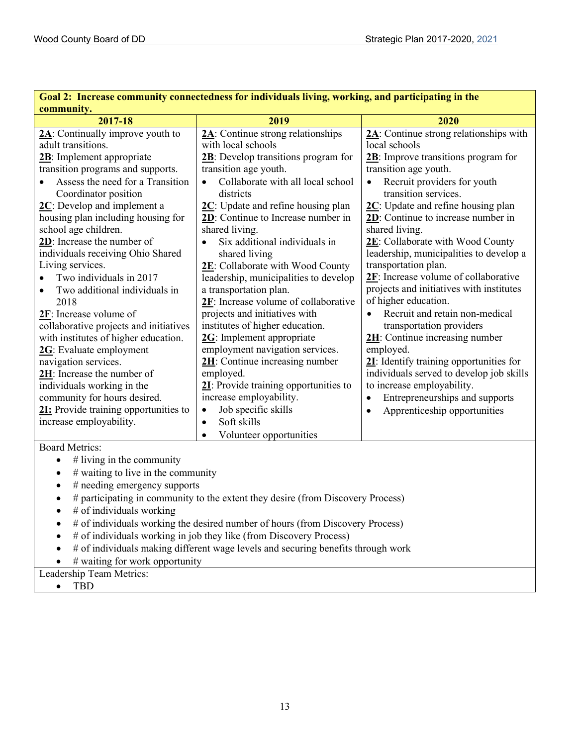| Goal 2: Therease community connectedness for individuals living, working, and participating in the<br>community.                                                                                                                                                                                                                                                                                                                                                                                                                                                                                                                                                                                                                                                                                      |                                                                                                                                                                                                                                                                                                                                                                                                                                                                                                                                                                                                                                                                                                                                                                                                                                                                   |                                                                                                                                                                                                                                                                                                                                                                                                                                                                                                                                                                                                                                                                                                                                                                                                                                                        |  |  |
|-------------------------------------------------------------------------------------------------------------------------------------------------------------------------------------------------------------------------------------------------------------------------------------------------------------------------------------------------------------------------------------------------------------------------------------------------------------------------------------------------------------------------------------------------------------------------------------------------------------------------------------------------------------------------------------------------------------------------------------------------------------------------------------------------------|-------------------------------------------------------------------------------------------------------------------------------------------------------------------------------------------------------------------------------------------------------------------------------------------------------------------------------------------------------------------------------------------------------------------------------------------------------------------------------------------------------------------------------------------------------------------------------------------------------------------------------------------------------------------------------------------------------------------------------------------------------------------------------------------------------------------------------------------------------------------|--------------------------------------------------------------------------------------------------------------------------------------------------------------------------------------------------------------------------------------------------------------------------------------------------------------------------------------------------------------------------------------------------------------------------------------------------------------------------------------------------------------------------------------------------------------------------------------------------------------------------------------------------------------------------------------------------------------------------------------------------------------------------------------------------------------------------------------------------------|--|--|
| 2017-18                                                                                                                                                                                                                                                                                                                                                                                                                                                                                                                                                                                                                                                                                                                                                                                               | 2019                                                                                                                                                                                                                                                                                                                                                                                                                                                                                                                                                                                                                                                                                                                                                                                                                                                              | 2020                                                                                                                                                                                                                                                                                                                                                                                                                                                                                                                                                                                                                                                                                                                                                                                                                                                   |  |  |
| $2\text{A}$ : Continually improve youth to<br>adult transitions.<br>2B: Implement appropriate<br>transition programs and supports.<br>Assess the need for a Transition<br>Coordinator position<br>$2C$ : Develop and implement a<br>housing plan including housing for<br>school age children.<br>2D: Increase the number of<br>individuals receiving Ohio Shared<br>Living services.<br>Two individuals in 2017<br>Two additional individuals in<br>$\bullet$<br>2018<br>2F: Increase volume of<br>collaborative projects and initiatives<br>with institutes of higher education.<br>2G: Evaluate employment<br>navigation services.<br>2H: Increase the number of<br>individuals working in the<br>community for hours desired.<br>21: Provide training opportunities to<br>increase employability. | $2\text{A}$ : Continue strong relationships<br>with local schools<br>2B: Develop transitions program for<br>transition age youth.<br>Collaborate with all local school<br>districts<br>$2C$ : Update and refine housing plan<br>2D: Continue to Increase number in<br>shared living.<br>Six additional individuals in<br>$\bullet$<br>shared living<br>2E: Collaborate with Wood County<br>leadership, municipalities to develop<br>a transportation plan.<br>2F: Increase volume of collaborative<br>projects and initiatives with<br>institutes of higher education.<br>2G: Implement appropriate<br>employment navigation services.<br>2H: Continue increasing number<br>employed.<br>21: Provide training opportunities to<br>increase employability.<br>Job specific skills<br>$\bullet$<br>Soft skills<br>$\bullet$<br>Volunteer opportunities<br>$\bullet$ | 2A: Continue strong relationships with<br>local schools<br>$2B$ : Improve transitions program for<br>transition age youth.<br>Recruit providers for youth<br>transition services.<br>$2C$ : Update and refine housing plan<br>2D: Continue to increase number in<br>shared living.<br>2E: Collaborate with Wood County<br>leadership, municipalities to develop a<br>transportation plan.<br>$2F$ : Increase volume of collaborative<br>projects and initiatives with institutes<br>of higher education.<br>Recruit and retain non-medical<br>$\bullet$<br>transportation providers<br>$2H$ : Continue increasing number<br>employed.<br>21: Identify training opportunities for<br>individuals served to develop job skills<br>to increase employability.<br>Entrepreneurships and supports<br>$\bullet$<br>Apprenticeship opportunities<br>$\bullet$ |  |  |
| Board Metrics:                                                                                                                                                                                                                                                                                                                                                                                                                                                                                                                                                                                                                                                                                                                                                                                        |                                                                                                                                                                                                                                                                                                                                                                                                                                                                                                                                                                                                                                                                                                                                                                                                                                                                   |                                                                                                                                                                                                                                                                                                                                                                                                                                                                                                                                                                                                                                                                                                                                                                                                                                                        |  |  |
| $#$ living in the community<br>$\bullet$<br># waiting to live in the community<br>$\bullet$<br># needing emergency supports<br># participating in community to the extent they desire (from Discovery Process)<br>$#$ of individuals working<br># of individuals working the desired number of hours (from Discovery Process)<br># of individuals working in job they like (from Discovery Process)<br># of individuals making different wage levels and securing benefits through work<br># waiting for work opportunity<br>Leadership Team Metrics:                                                                                                                                                                                                                                                 |                                                                                                                                                                                                                                                                                                                                                                                                                                                                                                                                                                                                                                                                                                                                                                                                                                                                   |                                                                                                                                                                                                                                                                                                                                                                                                                                                                                                                                                                                                                                                                                                                                                                                                                                                        |  |  |
| <b>TBD</b><br>$\bullet$                                                                                                                                                                                                                                                                                                                                                                                                                                                                                                                                                                                                                                                                                                                                                                               |                                                                                                                                                                                                                                                                                                                                                                                                                                                                                                                                                                                                                                                                                                                                                                                                                                                                   |                                                                                                                                                                                                                                                                                                                                                                                                                                                                                                                                                                                                                                                                                                                                                                                                                                                        |  |  |

**Goal 2: Increase community connectedness for individuals living, working, and participating in the**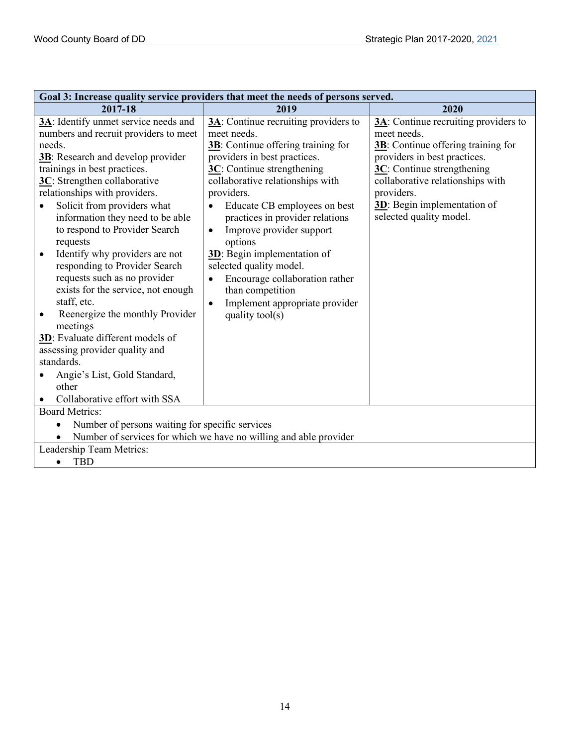| Goal 3: Increase quality service providers that meet the needs of persons served.                                                                                                                                                                                                                                                                                                                                                                                                                                                                                                                                                                                                                                                                                |                                                                                                                                                                                                                                                                                                                                                                                                                                                                                                                                         |                                                                                                                                                                                                                                                                               |  |  |
|------------------------------------------------------------------------------------------------------------------------------------------------------------------------------------------------------------------------------------------------------------------------------------------------------------------------------------------------------------------------------------------------------------------------------------------------------------------------------------------------------------------------------------------------------------------------------------------------------------------------------------------------------------------------------------------------------------------------------------------------------------------|-----------------------------------------------------------------------------------------------------------------------------------------------------------------------------------------------------------------------------------------------------------------------------------------------------------------------------------------------------------------------------------------------------------------------------------------------------------------------------------------------------------------------------------------|-------------------------------------------------------------------------------------------------------------------------------------------------------------------------------------------------------------------------------------------------------------------------------|--|--|
| 2017-18                                                                                                                                                                                                                                                                                                                                                                                                                                                                                                                                                                                                                                                                                                                                                          | 2019                                                                                                                                                                                                                                                                                                                                                                                                                                                                                                                                    | 2020                                                                                                                                                                                                                                                                          |  |  |
| 3A: Identify unmet service needs and<br>numbers and recruit providers to meet<br>needs.<br><b>3B</b> : Research and develop provider<br>trainings in best practices.<br>3C: Strengthen collaborative<br>relationships with providers.<br>Solicit from providers what<br>information they need to be able<br>to respond to Provider Search<br>requests<br>Identify why providers are not<br>responding to Provider Search<br>requests such as no provider<br>exists for the service, not enough<br>staff, etc.<br>Reenergize the monthly Provider<br>$\bullet$<br>meetings<br>3D: Evaluate different models of<br>assessing provider quality and<br>standards.<br>Angie's List, Gold Standard,<br>other<br>Collaborative effort with SSA<br><b>Board Metrics:</b> | $3\text{\AA}$ : Continue recruiting providers to<br>meet needs.<br>3B: Continue offering training for<br>providers in best practices.<br>3C: Continue strengthening<br>collaborative relationships with<br>providers.<br>Educate CB employees on best<br>practices in provider relations<br>Improve provider support<br>$\bullet$<br>options<br>3D: Begin implementation of<br>selected quality model.<br>Encourage collaboration rather<br>than competition<br>Implement appropriate provider<br>$\bullet$<br>quality $\text{tool}(s)$ | $3\text{A}$ : Continue recruiting providers to<br>meet needs.<br>3B: Continue offering training for<br>providers in best practices.<br>3C: Continue strengthening<br>collaborative relationships with<br>providers.<br>3D: Begin implementation of<br>selected quality model. |  |  |
| Number of persons waiting for specific services                                                                                                                                                                                                                                                                                                                                                                                                                                                                                                                                                                                                                                                                                                                  |                                                                                                                                                                                                                                                                                                                                                                                                                                                                                                                                         |                                                                                                                                                                                                                                                                               |  |  |
| Number of services for which we have no willing and able provider                                                                                                                                                                                                                                                                                                                                                                                                                                                                                                                                                                                                                                                                                                |                                                                                                                                                                                                                                                                                                                                                                                                                                                                                                                                         |                                                                                                                                                                                                                                                                               |  |  |
| Leadership Team Metrics:                                                                                                                                                                                                                                                                                                                                                                                                                                                                                                                                                                                                                                                                                                                                         |                                                                                                                                                                                                                                                                                                                                                                                                                                                                                                                                         |                                                                                                                                                                                                                                                                               |  |  |
| <b>TBD</b><br>$\bullet$                                                                                                                                                                                                                                                                                                                                                                                                                                                                                                                                                                                                                                                                                                                                          |                                                                                                                                                                                                                                                                                                                                                                                                                                                                                                                                         |                                                                                                                                                                                                                                                                               |  |  |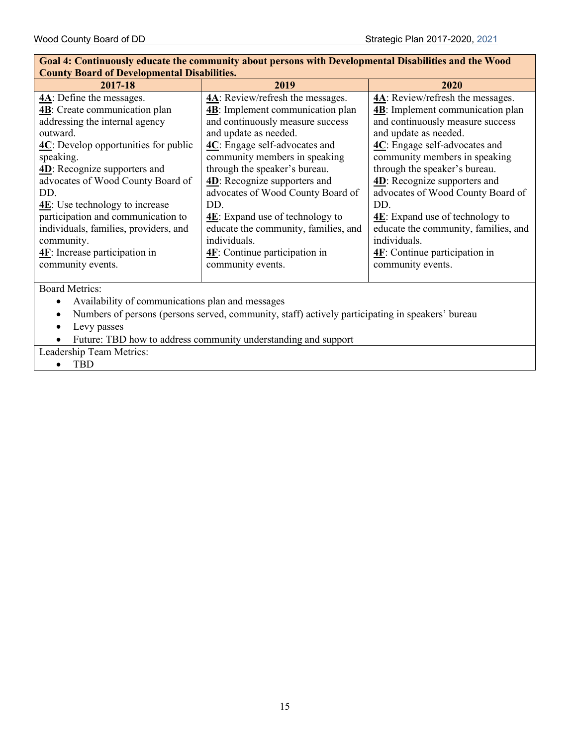#### **Goal 4: Continuously educate the community about persons with Developmental Disabilities and the Wood County Board of Developmental Disabilities. 2017-18 2019 2020 4A**: Define the messages. **4B**: Create communication plan addressing the internal agency outward. **4C**: Develop opportunities for public speaking. **4D**: Recognize supporters and advocates of Wood County Board of DD. **4E**: Use technology to increase participation and communication to individuals, families, providers, and community. **4F**: Increase participation in community events. **4A**: Review/refresh the messages. **4B**: Implement communication plan and continuously measure success and update as needed. **4C**: Engage self-advocates and community members in speaking through the speaker's bureau. **4D**: Recognize supporters and advocates of Wood County Board of DD. **4E**: Expand use of technology to educate the community, families, and individuals. **4F**: Continue participation in community events. **4A**: Review/refresh the messages. **4B**: Implement communication plan and continuously measure success and update as needed. **4C**: Engage self-advocates and community members in speaking through the speaker's bureau. **4D**: Recognize supporters and advocates of Wood County Board of DD. **4E**: Expand use of technology to educate the community, families, and individuals. **4F**: Continue participation in community events.

Board Metrics:

- Availability of communications plan and messages
- Numbers of persons (persons served, community, staff) actively participating in speakers' bureau
- Levy passes
- Future: TBD how to address community understanding and support

Leadership Team Metrics:

• TBD